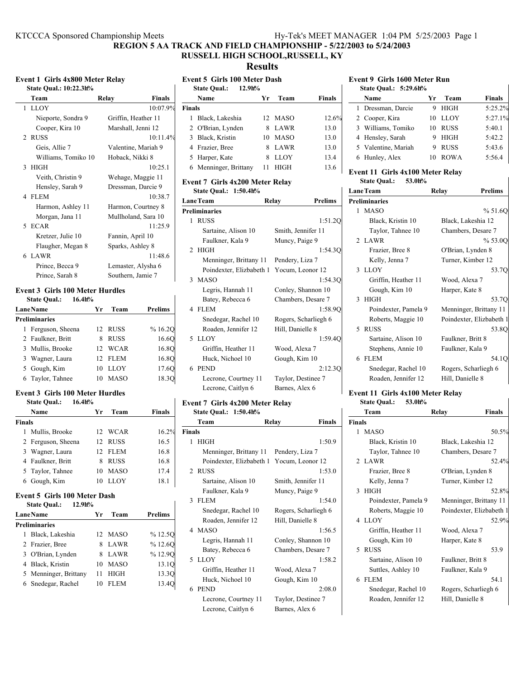| KTCCCA Sponsored Championship Meets | Hy-Tek's MEET MANAGER 1:04 PM 5/25/2003 Page 1 |  |
|-------------------------------------|------------------------------------------------|--|
|                                     |                                                |  |

**REGION 5 AA TRACK AND FIELD CHAMPIONSHIP - 5/22/2003 to 5/24/2003**

# **RUSSELL HIGH SCHOOL,RUSSELL, KY**

**Results**

| <b>Event 1 Girls 4x800 Meter Relay</b> |                        |                        |  |
|----------------------------------------|------------------------|------------------------|--|
|                                        | State Qual.: 10:22.3h% |                        |  |
|                                        | Team                   | <b>Finals</b><br>Relay |  |
|                                        | 1 LLOY                 | 10:07.9%               |  |
|                                        | Nieporte, Sondra 9     | Griffin, Heather 11    |  |
|                                        | Cooper, Kira 10        | Marshall, Jenni 12     |  |
|                                        | 2 RUSS                 | 10:11.4%               |  |
|                                        | Geis, Allie 7          | Valentine, Mariah 9    |  |
|                                        | Williams, Tomiko 10    | Hoback, Nikki 8        |  |
|                                        | 3 HIGH                 | 10:25.1                |  |
|                                        | Veith, Christin 9      | Wehage, Maggie 11      |  |
|                                        | Hensley, Sarah 9       | Dressman, Darcie 9     |  |
|                                        | 4 FLEM                 | 10:38.7                |  |
|                                        | Harmon, Ashley 11      | Harmon, Courtney 8     |  |
|                                        | Morgan, Jana 11        | Mullholand, Sara 10    |  |
|                                        | 5 ECAR                 | 11:25.9                |  |
|                                        | Kretzer, Julie 10      | Fannin, April 10       |  |
|                                        | Flaugher, Megan 8      | Sparks, Ashley 8       |  |
|                                        | 6 LAWR                 | 11.486                 |  |
|                                        | Prince, Becca 9        | Lemaster, Alysha 6     |  |
|                                        | Prince, Sarah 8        | Southern, Jamie 7      |  |
|                                        |                        |                        |  |

## **Event 3 Girls 100 Meter Hurdles**

**State Qual.: 16.4h%**

| <b>Lane Name</b>     | Yr | Team        | <b>Prelims</b> |
|----------------------|----|-------------|----------------|
| <b>Preliminaries</b> |    |             |                |
| 1 Ferguson, Sheena   |    | 12 RUSS     | %16.20         |
| 2 Faulkner, Britt    | 8. | <b>RUSS</b> | 16.6O          |
| 3 Mullis, Brooke     |    | 12 WCAR     | 16.8O          |
| 3 Wagner, Laura      |    | 12 FLEM     | 16.8O          |
| 5 Gough, Kim         | 10 | LLOY        | 17.6O          |
| 6 Taylor, Tahnee     | 10 | <b>MASO</b> | 18.3O          |

### **Event 3 Girls 100 Meter Hurdles**

| <b>State Qual.:</b> | 16.4h% |
|---------------------|--------|
|---------------------|--------|

|        | Name               | Уr | Team        | <b>Finals</b> |
|--------|--------------------|----|-------------|---------------|
| Finals |                    |    |             |               |
|        | 1 Mullis, Brooke   |    | 12 WCAR     | 16.2%         |
|        | 2 Ferguson, Sheena |    | 12 RUSS     | 16.5          |
|        | 3 Wagner, Laura    |    | 12 FLEM     | 16.8          |
|        | 4 Faulkner, Britt  | 8. | <b>RUSS</b> | 16.8          |
|        | 5 Taylor, Tahnee   | 10 | <b>MASO</b> | 17.4          |
|        | 6 Gough, Kim       |    | LLOY        | 18.1          |

## **Event 5 Girls 100 Meter Dash**

| $12.9h$ %<br><b>State Qual.:</b> |     |             |                |
|----------------------------------|-----|-------------|----------------|
| <b>Lane Name</b>                 | Уr  | Team        | <b>Prelims</b> |
| <b>Preliminaries</b>             |     |             |                |
| 1 Black, Lakeshia                |     | 12 MASO     | %12.5O         |
| 2 Frazier, Bree                  |     | 8 LAWR      | %12.6O         |
| 3 O'Brian, Lynden                |     | 8 LAWR      | %12.90         |
| 4 Black, Kristin                 | 10. | <b>MASO</b> | 13.1O          |
| 5 Menninger, Brittany            | 11  | <b>HIGH</b> | 13.3O          |
| 6 Snedegar, Rachel               | 10  | <b>FLEM</b> | 13.4O          |

|               | <b>Event 5 Girls 100 Meter Dash</b><br>$12.9h$ %<br><b>State Qual.:</b> |    |             |               |
|---------------|-------------------------------------------------------------------------|----|-------------|---------------|
|               | Name                                                                    | Уr | Team        | <b>Finals</b> |
| <b>Finals</b> |                                                                         |    |             |               |
|               | Black, Lakeshia                                                         |    | 12 MASO     | 12.6%         |
|               | 2 O'Brian, Lynden                                                       | 8  | <b>LAWR</b> | 13.0          |
|               | 3 Black, Kristin                                                        |    | 10 MASO     | 13.0          |
|               | 4 Frazier, Bree                                                         |    | 8 LAWR      | 13.0          |
|               | 5 Harper, Kate                                                          | 8  | LLOY        | 13.4          |
|               | 6 Menninger, Brittany                                                   | 11 | HIGH        | 13.6          |

### **Event 7 Girls 4x200 Meter Relay State Qual.: 1:50.4h%**

|                      | <b>LaneTeam</b>                           | <b>Prelims</b><br>Relay |
|----------------------|-------------------------------------------|-------------------------|
| <b>Preliminaries</b> |                                           |                         |
| 1                    | <b>RUSS</b>                               | 1:51.20                 |
|                      | Sartaine, Alison 10                       | Smith, Jennifer 11      |
|                      | Faulkner, Kala 9                          | Muncy, Paige 9          |
|                      | 2 HIGH                                    | 1:54.30                 |
|                      | Menninger, Brittany 11 Pendery, Liza 7    |                         |
|                      | Poindexter, Elizbabeth 1 Yocum, Leonor 12 |                         |
|                      | 3 MASO                                    | 1:54.30                 |
|                      | Legris, Hannah 11                         | Conley, Shannon 10      |
|                      | Batey, Rebecca 6                          | Chambers, Desare 7      |
|                      | 4 FLEM                                    | 1:58.90                 |
|                      | Snedegar, Rachel 10                       | Rogers, Scharliegh 6    |
|                      | Roaden, Jennifer 12                       | Hill, Danielle 8        |
|                      | 5 LLOY                                    | 1:59.40                 |
|                      | Griffin, Heather 11                       | Wood, Alexa 7           |
|                      | Huck, Nichoel 10                          | Gough, Kim 10           |
| 6.                   | <b>PEND</b>                               | 2:12.3O                 |
|                      | Lecrone, Courtney 11                      | Taylor, Destinee 7      |
|                      | Lecrone, Caitlyn 6                        | Barnes, Alex 6          |

### **Event 7 Girls 4x200 Meter Relay State Qual.: 1:50.4h%**

 $\mathsf{l}$ 

| Team                 | Relay<br><b>Finals</b>                                                                                                                                             |
|----------------------|--------------------------------------------------------------------------------------------------------------------------------------------------------------------|
|                      |                                                                                                                                                                    |
|                      | 1:50.9                                                                                                                                                             |
|                      |                                                                                                                                                                    |
|                      |                                                                                                                                                                    |
|                      | 1:53.0                                                                                                                                                             |
| Sartaine, Alison 10  | Smith, Jennifer 11                                                                                                                                                 |
| Faulkner, Kala 9     | Muncy, Paige 9                                                                                                                                                     |
|                      | 1:54.0                                                                                                                                                             |
| Snedegar, Rachel 10  | Rogers, Scharliegh 6                                                                                                                                               |
| Roaden, Jennifer 12  | Hill, Danielle 8                                                                                                                                                   |
|                      | 1:56.5                                                                                                                                                             |
| Legris, Hannah 11    | Conley, Shannon 10                                                                                                                                                 |
| Batey, Rebecca 6     | Chambers, Desare 7                                                                                                                                                 |
|                      | 1:58.2                                                                                                                                                             |
| Griffin, Heather 11  | Wood, Alexa 7                                                                                                                                                      |
| Huck, Nichoel 10     | Gough, Kim 10                                                                                                                                                      |
|                      | 2:08.0                                                                                                                                                             |
| Lecrone, Courtney 11 | Taylor, Destinee 7                                                                                                                                                 |
| Lecrone, Caitlyn 6   | Barnes, Alex 6                                                                                                                                                     |
|                      | <b>Finals</b><br>$1$ HIGH<br>Menninger, Brittany 11 Pendery, Liza 7<br>Poindexter, Elizbabeth 1 Yocum, Leonor 12<br>2 RUSS<br>3 FLEM<br>4 MASO<br>5 LLOY<br>6 PEND |

### **Event 9 Girls 1600 Meter Run**

| State Oual.: 5:29.6h% |                   |               |
|-----------------------|-------------------|---------------|
| Name                  | Team<br>Уr        | <b>Finals</b> |
| 1 Dressman, Darcie    | <b>HIGH</b>       | 5:25.2%       |
| 2 Cooper, Kira        | LLOY<br>10        | 5:27.1%       |
| 3 Williams, Tomiko    | <b>RUSS</b><br>10 | 5:40.1        |
| 4 Hensley, Sarah      | <b>HIGH</b>       | 5:42.2        |
| 5 Valentine, Mariah   | <b>RUSS</b><br>9  | 5:43.6        |
| 6 Hunley, Alex        | <b>ROWA</b><br>10 | 5:56.4        |

### **Event 11 Girls 4x100 Meter Relay State Qual.: 53.0h%**

 $\mathbf{I}$ 

| <b>LaneTeam</b>      | Relay             | <b>Prelims</b>           |
|----------------------|-------------------|--------------------------|
| <b>Preliminaries</b> |                   |                          |
| 1 MASO               |                   | % 51.6O                  |
| Black, Kristin 10    |                   | Black, Lakeshia 12       |
| Taylor, Tahnee 10    |                   | Chambers, Desare 7       |
| 2 LAWR               |                   | % 53.00                  |
| Frazier, Bree 8      |                   | O'Brian, Lynden 8        |
| Kelly, Jenna 7       |                   | Turner, Kimber 12        |
| 3 LLOY               |                   | 53.7Q                    |
| Griffin, Heather 11  | Wood, Alexa 7     |                          |
| Gough, Kim 10        | Harper, Kate 8    |                          |
| 3 HIGH               |                   | 53.7Q                    |
| Poindexter, Pamela 9 |                   | Menninger, Brittany 11   |
| Roberts, Maggie 10   |                   | Poindexter, Elizbabeth 1 |
| 5 RUSS               |                   | 53.8O                    |
| Sartaine, Alison 10  | Faulkner, Britt 8 |                          |
| Stephens, Annie 10   |                   | Faulkner, Kala 9         |
| 6 FLEM               |                   | 54.1O                    |
| Snedegar, Rachel 10  |                   | Rogers, Scharliegh 6     |
| Roaden, Jennifer 12  | Hill, Danielle 8  |                          |
|                      |                   |                          |

### **Event 11 Girls 4x100 Meter Relay State Qual.: 53.0h%**

|               | Team                 | Relay                    | <b>Finals</b> |
|---------------|----------------------|--------------------------|---------------|
| <b>Finals</b> |                      |                          |               |
|               | 1 MASO               |                          | 50.5%         |
|               | Black, Kristin 10    | Black, Lakeshia 12       |               |
|               | Taylor, Tahnee 10    | Chambers, Desare 7       |               |
|               | 2 LAWR               |                          | 52.4%         |
|               | Frazier, Bree 8      | O'Brian, Lynden 8        |               |
|               | Kelly, Jenna 7       | Turner, Kimber 12        |               |
|               | 3 HIGH               |                          | 52.8%         |
|               | Poindexter, Pamela 9 | Menninger, Brittany 11   |               |
|               | Roberts, Maggie 10   | Poindexter, Elizbabeth 1 |               |
|               | 4 LLOY               |                          | 52.9%         |
|               | Griffin, Heather 11  | Wood, Alexa 7            |               |
|               | Gough, Kim 10        | Harper, Kate 8           |               |
|               | 5 RUSS               |                          | 53.9          |
|               | Sartaine, Alison 10  | Faulkner, Britt 8        |               |
|               | Suttles, Ashley 10   | Faulkner, Kala 9         |               |
|               | 6 FLEM               |                          | 54 1          |
|               | Snedegar, Rachel 10  | Rogers, Scharliegh 6     |               |
|               | Roaden, Jennifer 12  | Hill, Danielle 8         |               |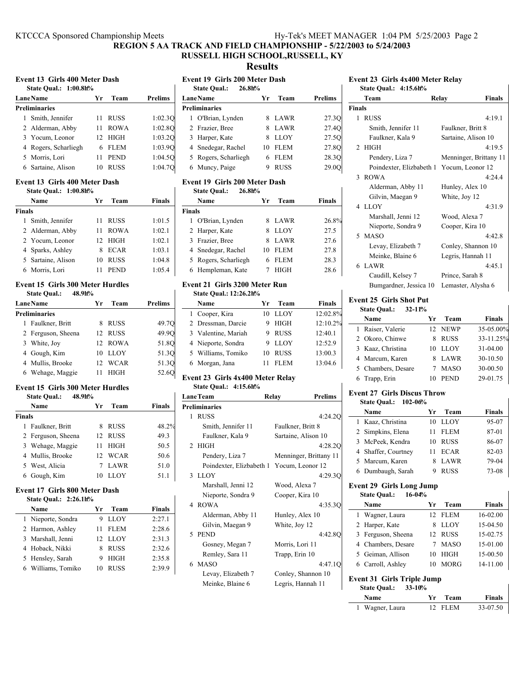## **REGION 5 AA TRACK AND FIELD CHAMPIONSHIP - 5/22/2003 to 5/24/2003 RUSSELL HIGH SCHOOL,RUSSELL, KY**

**Results**

|  | Event 13 Girls 400 Meter Dash |  |  |
|--|-------------------------------|--|--|
|--|-------------------------------|--|--|

| <b>State Oual.: 1:00.8h%</b> |     |             |                |
|------------------------------|-----|-------------|----------------|
| Lane Name                    | Уr  | Team        | <b>Prelims</b> |
| <b>Preliminaries</b>         |     |             |                |
| Smith, Jennifer              | 11  | <b>RUSS</b> | 1:02.30        |
| 2 Alderman, Abby             | 11  | <b>ROWA</b> | 1:02.80        |
| 3 Yocum, Leonor              | 12. | HIGH        | 1:03.20        |
| 4 Rogers, Scharliegh         | 6   | <b>FLEM</b> | 1:03.90        |
| 5 Morris, Lori               | 11  | <b>PEND</b> | 1:04.50        |
| 6 Sartaine, Alison           | 10  | <b>RUSS</b> | 1:04.70        |
|                              |     |             |                |

#### **Event 13 Girls 400 Meter Dash State Qual.: 1:00.8h%**

|        | Name               | Уr | Team        | Finals |  |  |  |
|--------|--------------------|----|-------------|--------|--|--|--|
| Finals |                    |    |             |        |  |  |  |
| 1      | Smith, Jennifer    | 11 | <b>RUSS</b> | 1:01.5 |  |  |  |
|        | 2 Alderman, Abby   | 11 | <b>ROWA</b> | 1:02.1 |  |  |  |
|        | 2 Yocum, Leonor    |    | 12 HIGH     | 1:02.1 |  |  |  |
|        | 4 Sparks, Ashley   | 8  | <b>ECAR</b> | 1:03.1 |  |  |  |
|        | 5 Sartaine, Alison | 10 | <b>RUSS</b> | 1:04.8 |  |  |  |
|        | 6 Morris, Lori     |    | <b>PEND</b> | 1:05.4 |  |  |  |

#### **Event 15 Girls 300 Meter Hurdles State Qual.: 48.9h%**

| <br><i></i>          |    |             |                |
|----------------------|----|-------------|----------------|
| <b>Lane Name</b>     | Yr | Team        | <b>Prelims</b> |
| <b>Preliminaries</b> |    |             |                |
| 1 Faulkner, Britt    |    | <b>RUSS</b> | 49.7Q          |
| 2 Ferguson, Sheena   |    | 12 RUSS     | 49.9O          |
| 3 White, Joy         |    | 12 ROWA     | 51.8Q          |
| 4 Gough, Kim         | 10 | LLOY        | 51.3Q          |
| 4 Mullis, Brooke     | 12 | WCAR        | 51.3Q          |
| 6 Wehage, Maggie     |    | <b>HIGH</b> | 52.6O          |

## **Event 15 Girls 300 Meter Hurdles**

|               | 48.9h%<br><b>State Qual.:</b> |    |             |        |
|---------------|-------------------------------|----|-------------|--------|
|               | Name                          | Уr | Team        | Finals |
| <b>Finals</b> |                               |    |             |        |
|               | 1 Faulkner, Britt             | 8  | <b>RUSS</b> | 48.2%  |
|               | 2 Ferguson, Sheena            |    | 12 RUSS     | 49.3   |
|               | 3 Wehage, Maggie              | 11 | <b>HIGH</b> | 50.5   |
|               | 4 Mullis, Brooke              | 12 | WCAR        | 50.6   |
|               | 5 West, Alicia                |    | <b>LAWR</b> | 51.0   |
|               | 6 Gough, Kim                  | 10 | LLOY        | 51.1   |

## **Event 17 Girls 800 Meter Dash**

| <b>State Qual.:</b> | 2:26.1h% |
|---------------------|----------|
|---------------------|----------|

| Name |                    | Yr. | Team        | <b>Finals</b> |
|------|--------------------|-----|-------------|---------------|
|      | 1 Nieporte, Sondra |     | LLOY        | 2:27.1        |
|      | 2 Harmon, Ashley   | 11  | <b>FLEM</b> | 2:28.6        |
|      | 3 Marshall, Jenni  |     | 12 LLOY     | 2:31.3        |
|      | 4 Hoback, Nikki    | 8   | <b>RUSS</b> | 2:32.6        |
|      | 5 Hensley, Sarah   | 9   | <b>HIGH</b> | 2:35.8        |
|      | 6 Williams, Tomiko | 10  | <b>RUSS</b> | 2.399         |

## **Event 19 Girls 200 Meter Dash**

| елені 17 днія 200 мені разіі<br>$26.80$ %<br><b>State Qual.:</b> |    |             |         |  |  |  |
|------------------------------------------------------------------|----|-------------|---------|--|--|--|
| <b>LaneName</b>                                                  | Уr | Team        | Prelims |  |  |  |
| <b>Preliminaries</b>                                             |    |             |         |  |  |  |
| 1 O'Brian, Lynden                                                | 8  | LAWR        | 27.30   |  |  |  |
| 2 Frazier, Bree                                                  | 8  | LAWR        | 27.4Q   |  |  |  |
| 3 Harper, Kate                                                   | 8  | <b>LLOY</b> | 27.5Q   |  |  |  |
| 4 Snedegar, Rachel                                               | 10 | <b>FLEM</b> | 27.8O   |  |  |  |
| 5 Rogers, Scharliegh                                             | 6  | FLEM        | 28.30   |  |  |  |
| 6 Muncy, Paige                                                   | 9  | <b>RUSS</b> | 29.0O   |  |  |  |

#### **Event 19 Girls 200 Meter Dash State Qual.: 26.8h%**

| Name                 | Yr | Team        | Finals |  |
|----------------------|----|-------------|--------|--|
| <b>Finals</b>        |    |             |        |  |
| 1 O'Brian, Lynden    | 8  | LAWR        | 26.8%  |  |
| 2 Harper, Kate       |    | <b>LLOY</b> | 27.5   |  |
| 3 Frazier, Bree      | 8  | LAWR        | 27.6   |  |
| 4 Snedegar, Rachel   | 10 | <b>FLEM</b> | 27.8   |  |
| 5 Rogers, Scharliegh |    | <b>FLEM</b> | 28.3   |  |
| 6 Hempleman, Kate    |    | HIGH        | 28.6   |  |

#### **Event 21 Girls 3200 Meter Run State Qual.: 12:26.2h%**

| Name                | Yг | Team        | <b>Finals</b>                                     |
|---------------------|----|-------------|---------------------------------------------------|
| 1 Cooper, Kira      | 10 |             | 12:02.8%                                          |
| 2 Dressman, Darcie  |    |             | 12:10.2%                                          |
| 3 Valentine, Mariah |    |             | 12:40.1                                           |
| 4 Nieporte, Sondra  |    |             | 12:52.9                                           |
| 5 Williams, Tomiko  | 10 |             | 13:00.3                                           |
| 6 Morgan, Jana      |    | <b>FLEM</b> | 13:04.6                                           |
|                     |    |             | LLOY<br>9 HIGH<br>9 RUSS<br>9 LLOY<br><b>RUSS</b> |

## **Event 23 Girls 4x400 Meter Relay**

**State Qual.: 4:15.6h%**

| <b>LaneTeam</b> |                                           | <b>Prelims</b><br>Relay |
|-----------------|-------------------------------------------|-------------------------|
|                 | <b>Preliminaries</b>                      |                         |
| 1               | <b>RUSS</b>                               | 4:24.20                 |
|                 | Smith, Jennifer 11                        | Faulkner, Britt 8       |
|                 | Faulkner, Kala 9                          | Sartaine, Alison 10     |
|                 | $2$ HIGH                                  | 4:28.20                 |
|                 | Pendery, Liza 7                           | Menninger, Brittany 11  |
|                 | Poindexter, Elizbabeth 1 Yocum, Leonor 12 |                         |
|                 | 3 LLOY                                    | 4:29.30                 |
|                 | Marshall, Jenni 12                        | Wood, Alexa 7           |
|                 | Nieporte, Sondra 9                        | Cooper, Kira 10         |
|                 | 4 ROWA                                    | 4:35.30                 |
|                 | Alderman, Abby 11                         | Hunley, Alex 10         |
|                 | Gilvin, Maegan 9                          | White, Joy 12           |
|                 | 5 PEND                                    | 4:42.80                 |
|                 | Gosney, Megan 7                           | Morris, Lori 11         |
|                 | Remley, Sara 11                           | Trapp, Erin 10          |
|                 | 6 MASO                                    | 4:47.10                 |
|                 | Levay, Elizabeth 7                        | Conley, Shannon 10      |
|                 | Meinke, Blaine 6                          | Legris, Hannah 11       |

# **Event 23 Girls 4x400 Meter Relay**

| State Qual.: 4:15.6h% |  |  |  |  |
|-----------------------|--|--|--|--|
|                       |  |  |  |  |

|               | Team                                      | Relay               | <b>Finals</b>          |  |  |
|---------------|-------------------------------------------|---------------------|------------------------|--|--|
| <b>Finals</b> |                                           |                     |                        |  |  |
|               | 1 RUSS                                    |                     | 4:19.1                 |  |  |
|               | Smith, Jennifer 11                        | Faulkner, Britt 8   |                        |  |  |
|               | Faulkner, Kala 9                          | Sartaine, Alison 10 |                        |  |  |
|               | $2$ HIGH                                  |                     | 4:19.5                 |  |  |
|               | Pendery, Liza 7                           |                     | Menninger, Brittany 11 |  |  |
|               | Poindexter, Elizbabeth 1 Yocum, Leonor 12 |                     |                        |  |  |
|               | 3 ROWA                                    |                     | 4.244                  |  |  |
|               | Alderman, Abby 11                         | Hunley, Alex 10     |                        |  |  |
|               | Gilvin, Maegan 9                          | White, Joy 12       |                        |  |  |
|               | 4 LLOY                                    |                     | 4:31.9                 |  |  |
|               | Marshall, Jenni 12                        | Wood, Alexa 7       |                        |  |  |
|               | Nieporte, Sondra 9                        | Cooper, Kira 10     |                        |  |  |
|               | 5 MASO                                    |                     | 4:42.8                 |  |  |
|               | Levay, Elizabeth 7                        |                     | Conley, Shannon 10     |  |  |
|               | Meinke, Blaine 6                          | Legris, Hannah 11   |                        |  |  |
|               | 6 LAWR                                    |                     | 4:45.1                 |  |  |
|               | Caudill, Kelsey 7                         | Prince, Sarah 8     |                        |  |  |
|               | Bumgardner, Jessica 10                    | Lemaster, Alysha 6  |                        |  |  |

## **Event 25 Girls Shot Put**

| $32 - 11%$<br><b>State Qual.:</b> |    |             |           |
|-----------------------------------|----|-------------|-----------|
| Name                              | Yr | Team        | Finals    |
| 1 Raiser, Valerie                 |    | 12 NEWP     | 35-05.00% |
| 2 Okoro, Chinwe                   | 8  | <b>RUSS</b> | 33-11.25% |
| 3 Kaaz, Christina                 | 10 | <b>LLOY</b> | 31-04.00  |
| 4 Marcum, Karen                   | 8  | LAWR        | 30-10.50  |
| 5 Chambers, Desare                |    | <b>MASO</b> | 30-00.50  |
| 6 Trapp, Erin                     | 10 | <b>PEND</b> | 29-01.75  |

## **Event 27 Girls Discus Throw**

| <b>State Oual.: 102-06%</b> |                     |    |             |               |
|-----------------------------|---------------------|----|-------------|---------------|
|                             | Name                | Уr | Team        | <b>Finals</b> |
|                             | 1 Kaaz, Christina   | 10 | <b>LLOY</b> | 95-07         |
|                             | 2 Simpkins, Elena   | 11 | <b>FLEM</b> | 87-01         |
|                             | 3 McPeek, Kendra    | 10 | <b>RUSS</b> | 86-07         |
|                             | 4 Shaffer, Courtney | 11 | <b>ECAR</b> | 82-03         |
|                             | 5 Marcum, Karen     |    | LAWR        | 79-04         |
|                             | 6 Dumbaugh, Sarah   | y  | <b>RUSS</b> | 73-08         |

#### **Event 29 Girls Long Jump State Qual.: 16-04%**

| state Qual<br>10-04/0                                                  |    |             |               |  |
|------------------------------------------------------------------------|----|-------------|---------------|--|
| Name                                                                   | Yr | Team        | <b>Finals</b> |  |
| 1 Wagner, Laura                                                        |    | 12 FLEM     | $16-02.00$    |  |
| 2 Harper, Kate                                                         | 8  | <b>LLOY</b> | $15-04.50$    |  |
| 3 Ferguson, Sheena                                                     |    | 12 RUSS     | 15-02.75      |  |
| 4 Chambers, Desare                                                     |    | <b>MASO</b> | 15-01.00      |  |
| 5 Geiman, Allison                                                      | 10 | HIGH        | 15-00.50      |  |
| 6 Carroll, Ashley                                                      | 10 | <b>MORG</b> | 14-11.00      |  |
| <b>Event 31 Girls Triple Jump</b><br>$33 - 10%$<br><b>State Qual.:</b> |    |             |               |  |
| Name                                                                   | Уr | Team        | Finals        |  |

1 Wagner, Laura 12 FLEM 33-07.50